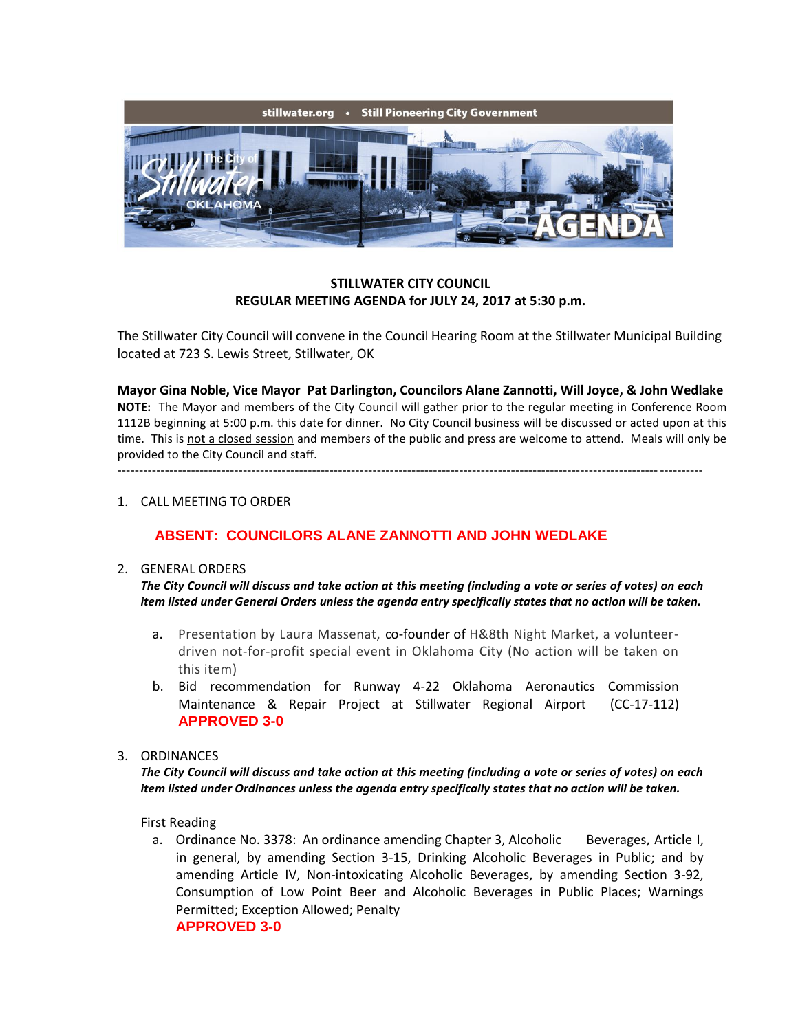

### **STILLWATER CITY COUNCIL REGULAR MEETING AGENDA for JULY 24, 2017 at 5:30 p.m.**

The Stillwater City Council will convene in the Council Hearing Room at the Stillwater Municipal Building located at 723 S. Lewis Street, Stillwater, OK

**Mayor Gina Noble, Vice Mayor Pat Darlington, Councilors Alane Zannotti, Will Joyce, & John Wedlake NOTE:** The Mayor and members of the City Council will gather prior to the regular meeting in Conference Room 1112B beginning at 5:00 p.m. this date for dinner. No City Council business will be discussed or acted upon at this time. This is not a closed session and members of the public and press are welcome to attend. Meals will only be provided to the City Council and staff. ---------------------------------------------------------------------------------------------------------------------------------------

#### 1. CALL MEETING TO ORDER

# **ABSENT: COUNCILORS ALANE ZANNOTTI AND JOHN WEDLAKE**

#### 2. GENERAL ORDERS

*The City Council will discuss and take action at this meeting (including a vote or series of votes) on each item listed under General Orders unless the agenda entry specifically states that no action will be taken.*

- a. Presentation by Laura Massenat, co-founder of H&8th Night Market, a volunteerdriven not-for-profit special event in Oklahoma City (No action will be taken on this item)
- b. Bid recommendation for Runway 4-22 Oklahoma Aeronautics Commission Maintenance & Repair Project at Stillwater Regional Airport (CC-17-112) **APPROVED 3-0**

#### 3. ORDINANCES

*The City Council will discuss and take action at this meeting (including a vote or series of votes) on each item listed under Ordinances unless the agenda entry specifically states that no action will be taken.*

First Reading

a. Ordinance No. 3378: An ordinance amending Chapter 3, Alcoholic Beverages, Article I, in general, by amending Section 3-15, Drinking Alcoholic Beverages in Public; and by amending Article IV, Non-intoxicating Alcoholic Beverages, by amending Section 3-92, Consumption of Low Point Beer and Alcoholic Beverages in Public Places; Warnings Permitted; Exception Allowed; Penalty **APPROVED 3-0**